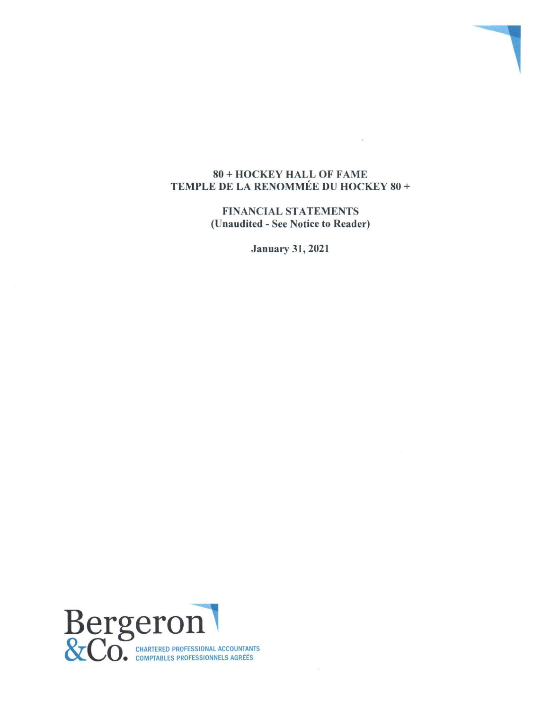### 80 + HOCKEY HALL OF FAME TEMPLE DE LA RENOMMÉE DU HOCKEY 80 +

FINANCIAL STATEMENTS (Unaudited - See Notice to Reader)

January 31, 2021

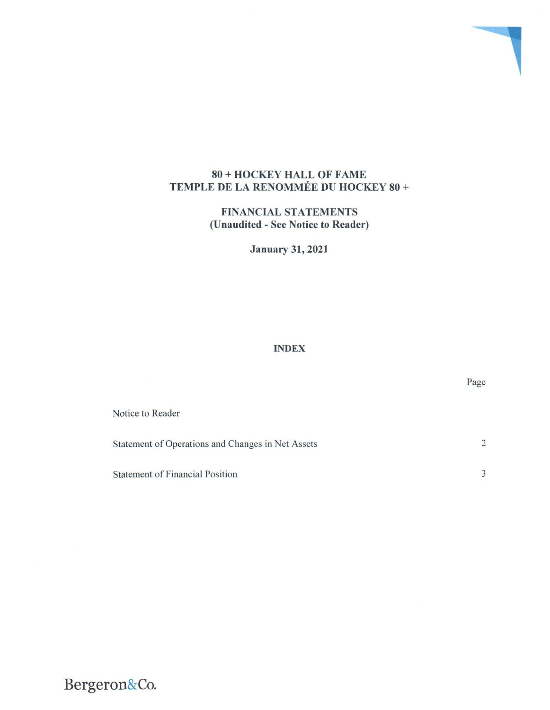## 80 + HOCKEY HALL OF FAME TEMPLE DE LA RENOMMÉE DU HOCKEY 80 +

FINANCIAL STATEMENTS **(Unaudited - See** Notice to **Reader)**

January 31, 2021

# INDEX

| Notice to Reader                                  |               |
|---------------------------------------------------|---------------|
| Statement of Operations and Changes in Net Assets | $\mathcal{L}$ |
| <b>Statement of Financial Position</b>            |               |

Page

**Bergeron&Co.**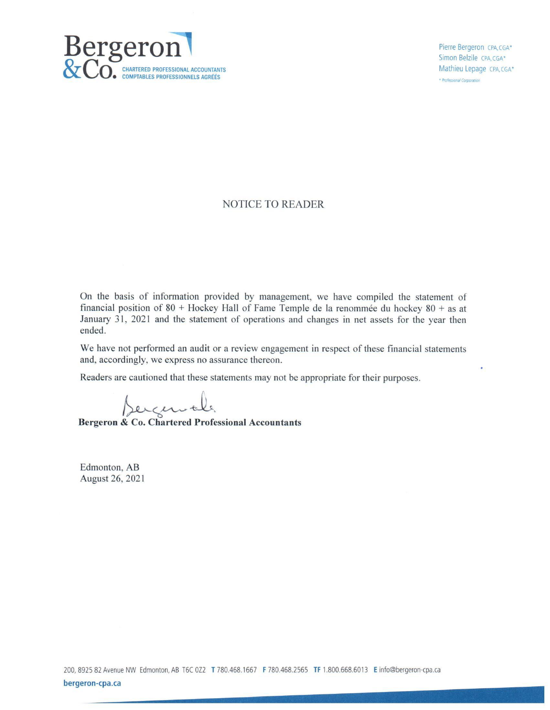

Pierre Bergeron CPA, CGA\* Simon Belzile CPA, CGA\* Mathieu Lepage CPA, CGA\* \* Professional Corporation

٠

#### NOTICE TO READER

On the basis of information provided by management, we have compiled the statement of financial position of  $80 +$  Hockey Hall of Fame Temple de la renommée du hockey  $80 +$  as at January 31, 2021 and the statement of operations and changes in net assets for the year then ended.

We have not performed an audit or a review engagement in respect of these financial statements and, accordingly, we express no assurance thereon.

Readers are cautioned that these statements may not be appropriate for their purposes.

**Bergeron & Co. Chartered Professional Accountants** 

Edmonton, AB August 26, 2021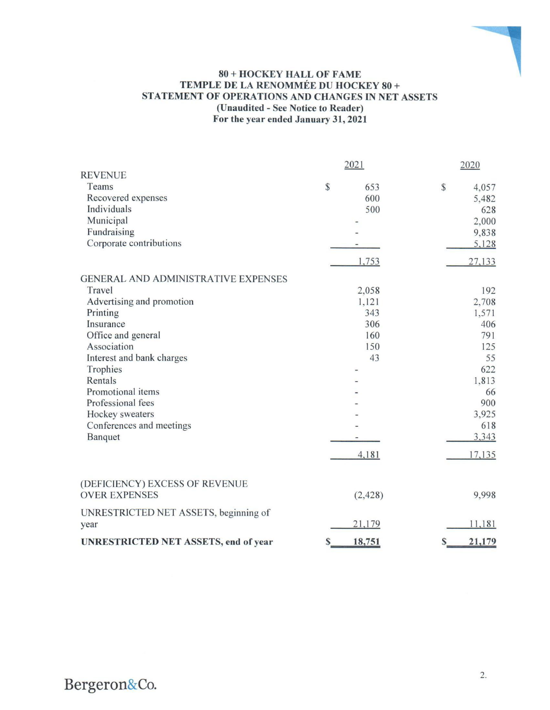#### **80 + HOCKEY HALL OF FAME TEMPLE DE LA RENOMMÉE DU HOCKEY 80 + STATEMENT OF OPERATIONS AND CHANGES IN NET ASSETS (Unaudited - See Notice to Reader) For the year ended January 31, 2021**

|                                             | 2021                         | 2020        |
|---------------------------------------------|------------------------------|-------------|
| <b>REVENUE</b>                              |                              |             |
| Teams                                       | \$<br>653                    | \$<br>4,057 |
| Recovered expenses                          | 600                          | 5,482       |
| Individuals                                 | 500                          | 628         |
| Municipal                                   |                              | 2,000       |
| Fundraising                                 |                              | 9,838       |
| Corporate contributions                     |                              | 5,128       |
|                                             | 1,753                        | 27,133      |
| <b>GENERAL AND ADMINISTRATIVE EXPENSES</b>  |                              |             |
| Travel                                      | 2,058                        | 192         |
| Advertising and promotion                   | 1,121                        | 2,708       |
| Printing                                    | 343                          | 1,571       |
| Insurance                                   | 306                          | 406         |
| Office and general                          | 160                          | 791         |
| Association                                 | 150                          | 125         |
| Interest and bank charges                   | 43                           | 55          |
| Trophies                                    | $\qquad \qquad \blacksquare$ | 622         |
| Rentals                                     |                              | 1,813       |
| Promotional items                           |                              | 66          |
| Professional fees                           |                              | 900         |
| Hockey sweaters                             |                              | 3,925       |
| Conferences and meetings                    |                              | 618         |
| Banquet                                     |                              | 3,343       |
|                                             |                              |             |
|                                             | 4,181                        | 17,135      |
| (DEFICIENCY) EXCESS OF REVENUE              |                              |             |
| <b>OVER EXPENSES</b>                        | (2, 428)                     | 9,998       |
| UNRESTRICTED NET ASSETS, beginning of       |                              |             |
| year                                        | 21,179                       | 11,181      |
| <b>UNRESTRICTED NET ASSETS, end of year</b> | $\mathbb{S}$<br>18,751       | 21,179<br>S |